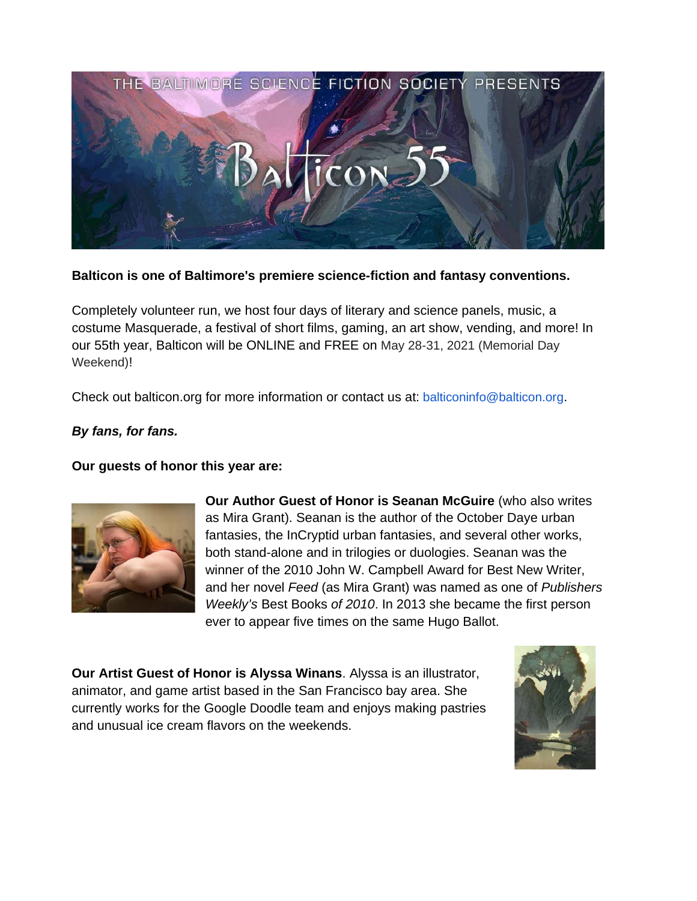

**Balticon is one of Baltimore's premiere science-fiction and fantasy conventions.**

Completely volunteer run, we host four days of literary and science panels, music, a costume Masquerade, a festival of short films, gaming, an art show, vending, and more! In our 55th year, Balticon will be ONLINE and FREE on May 28-31, 2021 (Memorial Day Weekend)!

Check out balticon.org for more information or contact us at: balticoninfo@balticon.org.

## *By fans, for fans.*

**Our guests of honor this year are:**



**Our Author Guest of Honor is Seanan McGuire** (who also writes as Mira Grant). Seanan is the author of the October Daye urban fantasies, the InCryptid urban fantasies, and several other works, both stand-alone and in trilogies or duologies. Seanan was the winner of the 2010 John W. Campbell Award for Best New Writer, and her novel *Feed* (as Mira Grant) was named as one of *Publishers Weekly's* Best Books *of 2010*. In 2013 she became the first person ever to appear five times on the same Hugo Ballot.

**Our Artist Guest of Honor is Alyssa Winans**. Alyssa is an illustrator, animator, and game artist based in the San Francisco bay area. She currently works for the Google Doodle team and enjoys making pastries and unusual ice cream flavors on the weekends.

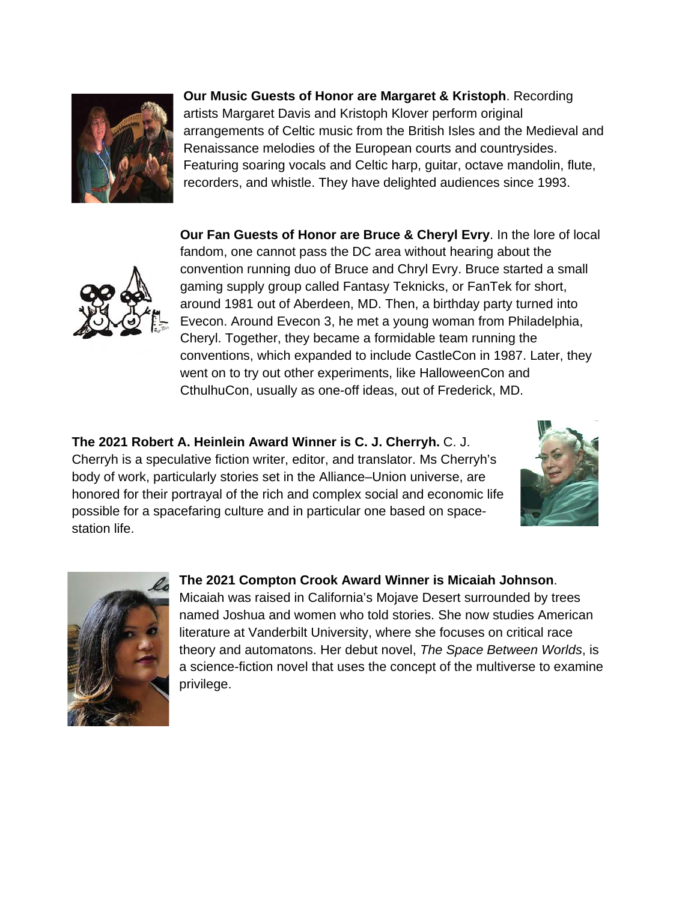

**Our Music Guests of Honor are Margaret & Kristoph**. Recording artists Margaret Davis and Kristoph Klover perform original arrangements of Celtic music from the British Isles and the Medieval and Renaissance melodies of the European courts and countrysides. Featuring soaring vocals and Celtic harp, guitar, octave mandolin, flute, recorders, and whistle. They have delighted audiences since 1993.



**Our Fan Guests of Honor are Bruce & Cheryl Evry**. In the lore of local fandom, one cannot pass the DC area without hearing about the convention running duo of Bruce and Chryl Evry. Bruce started a small gaming supply group called Fantasy Teknicks, or FanTek for short, around 1981 out of Aberdeen, MD. Then, a birthday party turned into Evecon. Around Evecon 3, he met a young woman from Philadelphia, Cheryl. Together, they became a formidable team running the conventions, which expanded to include CastleCon in 1987. Later, they went on to try out other experiments, like HalloweenCon and CthulhuCon, usually as one-off ideas, out of Frederick, MD.

**The 2021 Robert A. Heinlein Award Winner is C. J. Cherryh.** C. J. Cherryh is a speculative fiction writer, editor, and translator. Ms Cherryh's body of work, particularly stories set in the Alliance–Union universe, are honored for their portrayal of the rich and complex social and economic life possible for a spacefaring culture and in particular one based on spacestation life.





## **The 2021 Compton Crook Award Winner is Micaiah Johnson**.

Micaiah was raised in California's Mojave Desert surrounded by trees named Joshua and women who told stories. She now studies American literature at Vanderbilt University, where she focuses on critical race theory and automatons. Her debut novel, *The Space Between Worlds*, is a science-fiction novel that uses the concept of the multiverse to examine privilege.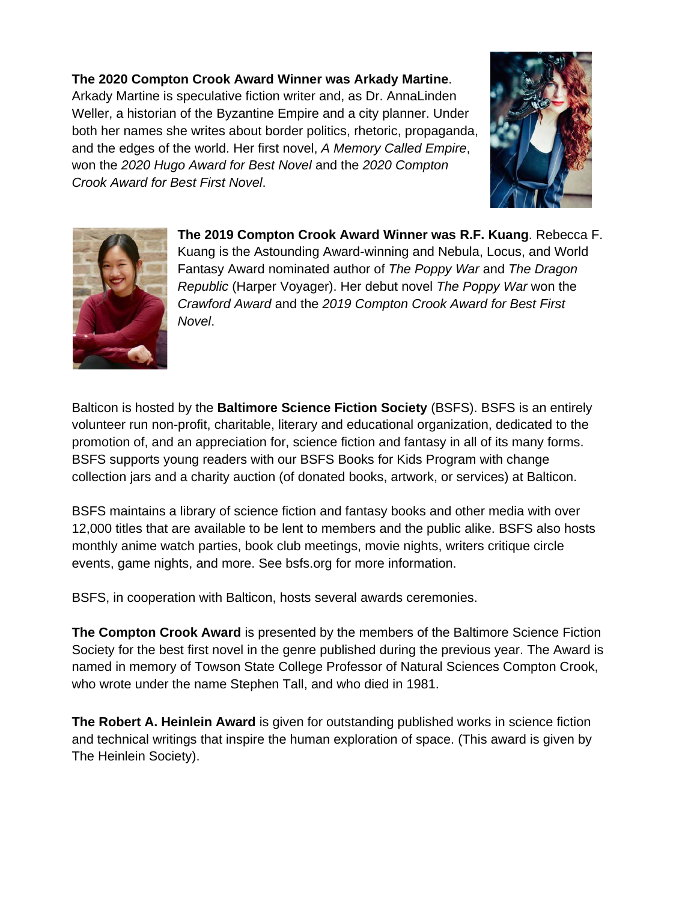## **The 2020 Compton Crook Award Winner was Arkady Martine**. Arkady Martine is speculative fiction writer and, as Dr. AnnaLinden Weller, a historian of the Byzantine Empire and a city planner. Under both her names she writes about border politics, rhetoric, propaganda, and the edges of the world. Her first novel, *A Memory Called Empire*, won the *2020 Hugo Award for Best Novel* and the *2020 Compton Crook Award for Best First Novel*.





**The 2019 Compton Crook Award Winner was R.F. Kuang**. Rebecca F. Kuang is the Astounding Award-winning and Nebula, Locus, and World Fantasy Award nominated author of *The Poppy War* and *The Dragon Republic* (Harper Voyager). Her debut novel *The Poppy War* won the *Crawford Award* and the *2019 Compton Crook Award for Best First Novel*.

Balticon is hosted by the **Baltimore Science Fiction Society** (BSFS). BSFS is an entirely volunteer run non-profit, charitable, literary and educational organization, dedicated to the promotion of, and an appreciation for, science fiction and fantasy in all of its many forms. BSFS supports young readers with our BSFS Books for Kids Program with change collection jars and a charity auction (of donated books, artwork, or services) at Balticon.

BSFS maintains a library of science fiction and fantasy books and other media with over 12,000 titles that are available to be lent to members and the public alike. BSFS also hosts monthly anime watch parties, book club meetings, movie nights, writers critique circle events, game nights, and more. See bsfs.org for more information.

BSFS, in cooperation with Balticon, hosts several awards ceremonies.

**The Compton Crook Award** is presented by the members of the Baltimore Science Fiction Society for the best first novel in the genre published during the previous year. The Award is named in memory of Towson State College Professor of Natural Sciences Compton Crook, who wrote under the name Stephen Tall, and who died in 1981.

**The Robert A. Heinlein Award** is given for outstanding published works in science fiction and technical writings that inspire the human exploration of space. (This award is given by The Heinlein Society).